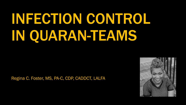# INFECTION CONTROL IN QUARAN-TEAMS

Regina C. Foster, MS, PA-C, CDP, CADDCT, LALFA

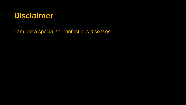

I am not a specialist in infectious diseases.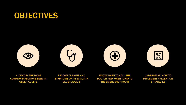#### OBJECTIVES



UNDERSTAND HOW TO IMPLEMENT PREVENTION **STRATEGIES** 

KNOW WHEN TO CALL THE DOCTOR AND WHEN TO GO TO THE EMERGENCY ROOM

RECOGNIZE SIGNS AND SYMPTOMS OF INFECTION IN OLDER ADULTS

\* IDENTIFY THE MOST COMMON INFECTIONS SEEN IN OLDER ADULTS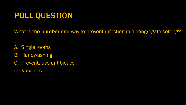# POLL QUESTION

What is the number one way to prevent infection in a congregate setting?

- A. Single rooms
- B. Handwashing
- C. Preventative antibiotics
- D. Vaccines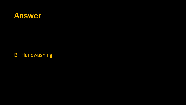

B. Handwashing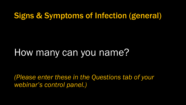### Signs & Symptoms of Infection (general)

# How many can you name?

*(Please enter these in the Questions tab of your webinar's control panel.)*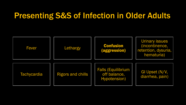#### Presenting S&S of Infection in Older Adults

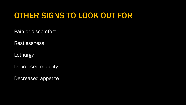# OTHER SIGNS TO LOOK OUT FOR

Pain or discomfort

Restlessness

Lethargy

Decreased mobility

Decreased appetite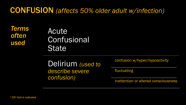#### CONFUSION *(affects 50% older adult w/infection)*

*Terms often used*

#### Acute **Confusional State**

Delirium *(used to describe severe confusion)*

confusion w/hyper/hypoactivity

fluctuating

inattention or altered consciousness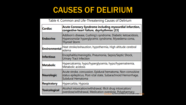# CAUSES OF DELIRIUM

| Acute Coronary Syndrome including myocardial infarction,<br><b>Cardiac</b><br>congestive heart failure, dsyrhythmias [23] |                                                                                                                                                    |  |  |
|---------------------------------------------------------------------------------------------------------------------------|----------------------------------------------------------------------------------------------------------------------------------------------------|--|--|
| <b>Endocrine</b>                                                                                                          | Addison's disease, Cushing's syndrome, Diabetic ketoacidosis,<br>Hyperosmolar hyperglycemic syndrome, Myxedema coma,<br><b>Thyroid Storm</b>       |  |  |
| <b>Environmental</b>                                                                                                      | Heat stroke/exhaustion, hypothermia, High altitude cerebral<br>edema                                                                               |  |  |
| <b>Infectious</b>                                                                                                         | Encephalitis/meningitis, Pneumonia, Sepsis/Septic Shock,<br>Urinary Tract Infection                                                                |  |  |
| <b>Metabolic</b>                                                                                                          | Hypercalcemia, hypo/hyperglycemia, hypo/hypernatremia,<br>Metabolic acidosis                                                                       |  |  |
| <b>Neurologic</b>                                                                                                         | Acute stroke, concussion, Epidural hematoma, Non-convulsive<br>status epilepticus, Post-ictal state, Subarachnoid Hemorrhage,<br>Subdural Hematoma |  |  |
| <b>Respiratory</b>                                                                                                        | Hypercarbia, Hypoxia                                                                                                                               |  |  |
| <b>Toxicological</b>                                                                                                      | Alcohol intoxication/withdrawal, Illicit drug intoxication/<br>overdose/withdrawal, Medication overdose, Polypharmacy                              |  |  |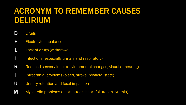# ACRONYM TO REMEMBER CAUSES DELIRIUM

- D Drugs
- E Electrolyte imbalance
- **L** Lack of drugs (withdrawal)
- I linfections (especially urinary and respiratory)
- R Reduced sensory input (environmental changes, visual or hearing)
- I Intracranial problems (bleed, stroke, postictal state)
- U Urinary retention and fecal impaction
- M Myocardia problems (heart attack, heart failure, arrhythmia)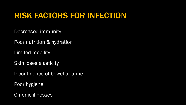# RISK FACTORS FOR INFECTION

Decreased immunity

Poor nutrition & hydration

Limited mobility

Skin loses elasticity

Incontinence of bowel or urine

Poor hygiene

Chronic illnesses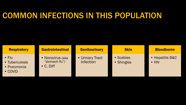### COMMON INFECTIONS IN THIS POPULATION

| <b>Respiratory</b>                                                | <b>Gastrointestinal</b>                                 | <b>Genitourinary</b>                | <b>Skin</b>             | <b>Bloodborne</b>                |
|-------------------------------------------------------------------|---------------------------------------------------------|-------------------------------------|-------------------------|----------------------------------|
| $\bullet$ Flu<br>• Tuberculosis<br>• Pneumonia<br>$\bullet$ COVID | • Norovirus (aka<br>"stomach flu")<br>$\bullet$ C. Diff | • Urinary Tract<br><b>Infection</b> | • Scabies<br>• Shingles | • Hepatitis B&C<br>$\bullet$ HIV |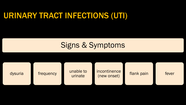# URINARY TRACT INFECTIONS (UTI)

#### Signs & Symptoms

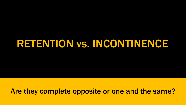# RETENTION vs. INCONTINENCE

Are they complete opposite or one and the same?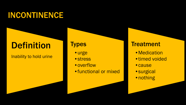# INCONTINENCE

# Definition

#### Inability to hold urine

#### **Types**

- •urge
- •stress
- overflow
- •functional or mixed

#### **Treatment**

- •Medication
- •timed voided
- •cause
- •surgical
- •nothing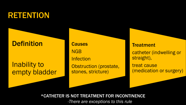#### RETENTION

#### **Definition**

#### Inability to empty bladder

**Causes** NGB **Infection** 

Obstruction (prostate, stones, stricture)

**Treatment** 

catheter (indwelling or straight),

treat cause (medication or surgery)

\*CATHETER IS NOT TREATMENT FOR INCONTINENCE

*-There are exceptions to this rule*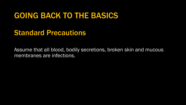#### GOING BACK TO THE BASICS

#### Standard Precautions

Assume that all blood, bodily secretions, broken skin and mucous membranes are infections.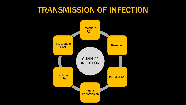# TRANSMISSION OF INFECTION

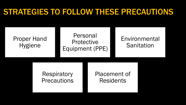### STRATEGIES TO FOLLOW THESE PRECAUTIONS

| <b>Proper Hand</b><br><b>Hygiene</b> | Personal<br>Protective<br>Equipment (PPE) |  |                                         | Environmental<br>Sanitation |
|--------------------------------------|-------------------------------------------|--|-----------------------------------------|-----------------------------|
|                                      | <b>Respiratory</b><br><b>Precautions</b>  |  | <b>Placement of</b><br><b>Residents</b> |                             |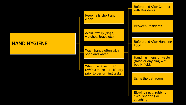#### HAND HYGIENE

Keep nails short and clean

Avoid jewelry (rings, watches, bracelets)

Wash hands often with soap and water

When using sanitizer (>60%) make sure it's dry prior to performing tasks

Before and After Contact with Residents

Between Residents

Before and After Handling Food

Handling linens or waste (trash or anything with bodily fluids)

Using the bathroom

Blowing nose, rubbing eyes, sneezing or **coughing**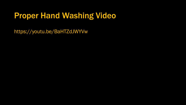# Proper Hand Washing Video

https://youtu.be/BaHTZdJWYVw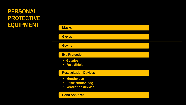#### PERSONAL PROTECTIVE **EQUIPMENT**

| <b>Masks</b>                                                              |  |
|---------------------------------------------------------------------------|--|
| <b>Gloves</b>                                                             |  |
| <b>Gowns</b>                                                              |  |
| <b>Eye Protection</b>                                                     |  |
| · - Goggles<br><b>• - Face Shield</b>                                     |  |
| <b>Resuscitation Devices</b>                                              |  |
| • - Mouthpiece<br><b>.</b> - Resuscitation bag<br>• - Ventilation devices |  |
| <b>Hand Sanitizer</b>                                                     |  |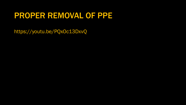#### PROPER REMOVAL OF PPE

https://youtu.be/PQxOc13DxvQ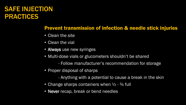#### SAFE INJECTION PRACTICES

#### Prevent transmission of infection & needle stick injuries

- Clean the site
- Clean the vial
- Always use new syringes
- Multi-dose vials or glucometers shouldn't be shared
	- Follow manufacturer's recommendation for storage
- Proper disposal of sharps
	- Anything with a potential to cause a break in the skin
- Change sharps containers when  $\frac{1}{2}$   $\frac{3}{4}$  full
- Never recap, break or bend needles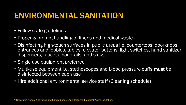#### ENVIRONMENTAL SANITATION

- Follow state guidelines
- Proper & prompt handling of linens and medical waste
- Disinfecting high-touch surfaces in public areas i.e. countertops, doorknobs, entrances and lobbies, tables, elevator buttons, light switches, hand sanitizer dispensers, faucets, handrails, and sinks.
- Single use equipment preferred
- Multi-use equipment i.e. stethoscopes and blood pressure cuffs must be disinfected between each use
- Hire additional environmental service staff (Cleaning schedule)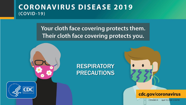#### **CORONAVIRUS DISEASE 2019**  $(COVID-19)$

#### Your cloth face covering protects them. Their cloth face covering protects you.

#### RESPIRATORY PRECAUTIONS



cdc.gov/coronavirus

CS316363-A April 10, 2020 12:58 PM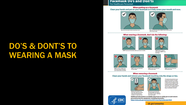# DO'S & DONT'S TO WEARING A MASK

#### **Facemask Do's and Don'ts**

For Healthcare Personnel

#### When putting on a facemask

Clean your hands and put on your facemask so it fully covers your mouth and nose.





DO secure the elastic bands around your ears.

DO secure the ties at the middle of your head and the base of your head.

#### When wearing a facemask, don't do the following:





hang down, DON'T cross

the straps.









DON'T touch or adjust your facemask without cleaning

your hands before and after.

DON'T wear your facemask on your head

**DON'T** wear your facemask around your neck.

**DON'T** wear your facemask around your arm.

**When removing a facemask** 

#### Clean your hands and remove your facemask touching only the straps or ties.





DO leave the patient care area, then clean your hands with alcohol-based hand sanitizer or soap and water. DO remove your facemask touching ONLY the straps or ties, throw it away<sup>\*</sup>, and clean your hands again.

Additional information is available about how to safely put on and remove personal protective equipment, including facemasks: https://www.cdc.gov/coronavirus/2019-ncov/hcp/using-ppe.html.

cdc.gov/coronavirus



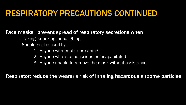# RESPIRATORY PRECAUTIONS CONTINUED

#### Face masks: prevent spread of respiratory secretions when

- Talking, sneezing, or coughing.
- Should not be used by:
	- 1. Anyone with trouble breathing
	- 2. Anyone who is unconscious or incapacitated
	- 3. Anyone unable to remove the mask without assistance

Respirator: reduce the wearer's risk of inhaling hazardous airborne particles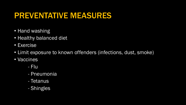### PREVENTATIVE MEASURES

- Hand washing
- Healthy balanced diet
- Exercise
- Limit exposure to known offenders (infections, dust, smoke)
- Vaccines
	- Flu
	- Pneumonia
	- Tetanus
	- Shingles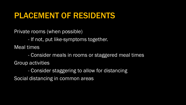#### PLACEMENT OF RESIDENTS

Private rooms (when possible)

- If not, put like-symptoms together.

Meal times

- Consider meals in rooms or staggered meal times Group activities

- Consider staggering to allow for distancing

Social distancing in common areas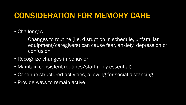# CONSIDERATION FOR MEMORY CARE

• Challenges

Changes to routine (i.e. disruption in schedule, unfamiliar equipment/caregivers) can cause fear, anxiety, depression or confusion

- Recognize changes in behavior
- Maintain consistent routines/staff (only essential)
- Continue structured activities, allowing for social distancing
- Provide ways to remain active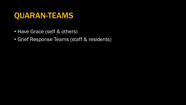#### QUARAN-TEAMS

- Have Grace (self & others)
- Grief Response Teams (staff & residents)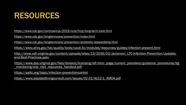# RESOURCES

<https://www.cdc.gov/coronavirus/2019-ncov/hcp/long-term-care.html>

<https://www.cdc.gov/longtermcare/prevention/index.html>

<https://www.cdc.gov/longtermcare/prevention/antibiotic-stewardship.html>

<https://www.ahrq.gov/hai/quality/tools/cauti-ltc/modules/resources/guides/infection-prevent.html>

[http://www.vdh.virginia.gov/content/uploads/sites/13/2016/03/Jamerson\\_LTC-Infection-Prevention-Updates](http://www.vdh.virginia.gov/content/uploads/sites/13/2016/03/Jamerson_LTC-Infection-Prevention-Updates-and-Best-Practices.pptx)and-Best-Practices.pptx

[https://www.dss.virginia.gov/files/division/licensing/alf/intro\\_page/current\\_providers/guidance\\_procedures/bg](https://www.dss.virginia.gov/files/division/licensing/alf/intro_page/current_providers/guidance_procedures/bg_monitoring/site_visit_resources_handout.pdf) \_monitoring/site\_visit\_resources\_handout.pdf

<https://paltc.org/topic/infection-preventioncontrol>

[https://www.assistedlivingconsult.com/issues/02-01/ALC2-1\\_AMDA.pdf](https://www.assistedlivingconsult.com/issues/02-01/ALC2-1_AMDA.pdf)